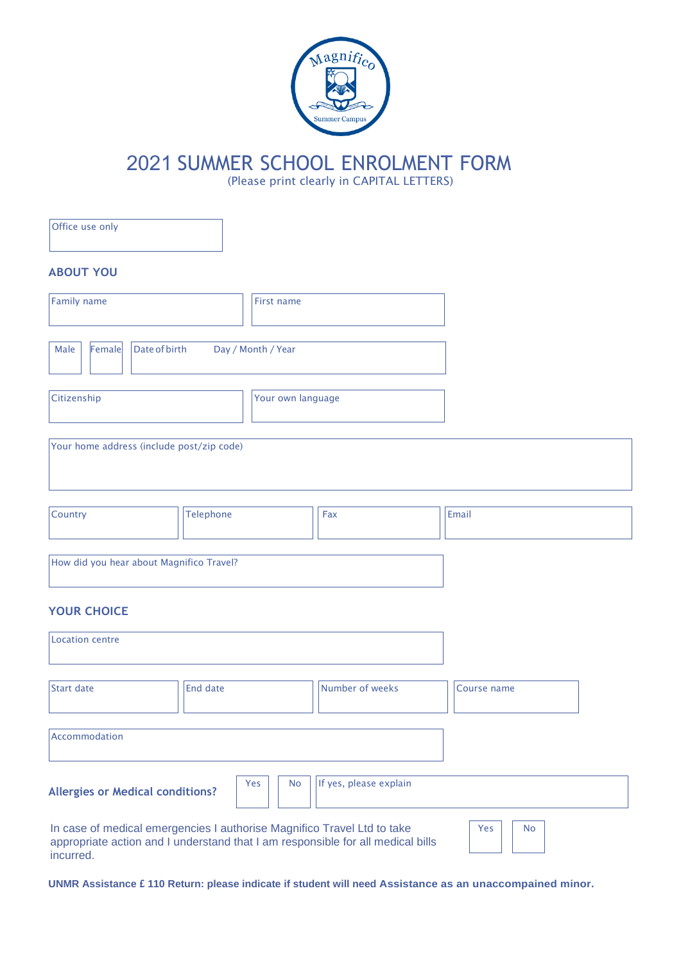

## 2021 SUMMER SCHOOL ENROLMENT FORM

(Please print clearly in CAPITAL LETTERS)

| Office use only                                                                      |                    |           |                                                                                 |                  |
|--------------------------------------------------------------------------------------|--------------------|-----------|---------------------------------------------------------------------------------|------------------|
| <b>ABOUT YOU</b>                                                                     |                    |           |                                                                                 |                  |
| <b>Family name</b><br>First name                                                     |                    |           |                                                                                 |                  |
| <b>Date of birth</b><br>Female<br>Male                                               | Day / Month / Year |           |                                                                                 |                  |
| Citizenship<br>Your own language                                                     |                    |           |                                                                                 |                  |
| Your home address (include post/zip code)                                            |                    |           |                                                                                 |                  |
| Country                                                                              | Telephone          |           | Fax                                                                             | Email            |
| How did you hear about Magnifico Travel?                                             |                    |           |                                                                                 |                  |
| <b>YOUR CHOICE</b>                                                                   |                    |           |                                                                                 |                  |
| <b>Location centre</b>                                                               |                    |           |                                                                                 |                  |
| <b>Start date</b>                                                                    | <b>End date</b>    |           | Number of weeks                                                                 | Course name      |
| Accommodation                                                                        |                    |           |                                                                                 |                  |
| <b>Allergies or Medical conditions?</b>                                              | Yes                | <b>No</b> | If yes, please explain                                                          |                  |
| In case of medical emergencies I authorise Magnifico Travel Ltd to take<br>incurred. |                    |           | appropriate action and I understand that I am responsible for all medical bills | Yes<br><b>No</b> |

**UNMR Assistance £ 110 Return: please indicate if student will need Assistance as an unaccompained minor.**